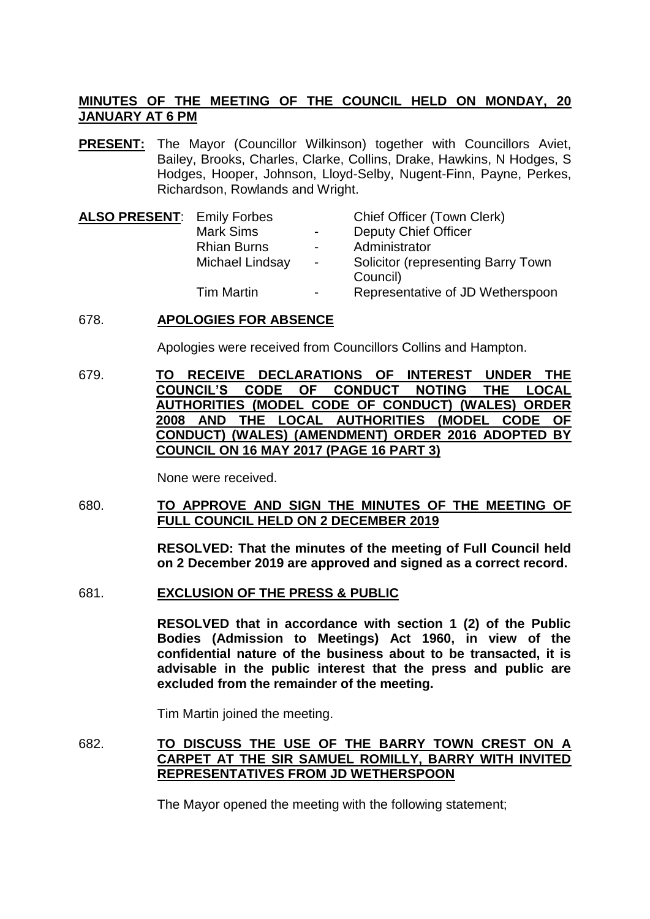## **MINUTES OF THE MEETING OF THE COUNCIL HELD ON MONDAY, 20 JANUARY AT 6 PM**

**PRESENT:** The Mayor (Councillor Wilkinson) together with Councillors Aviet, Bailey, Brooks, Charles, Clarke, Collins, Drake, Hawkins, N Hodges, S Hodges, Hooper, Johnson, Lloyd-Selby, Nugent-Finn, Payne, Perkes, Richardson, Rowlands and Wright.

| <b>ALSO PRESENT: Emily Forbes</b> |                    |                  | Chief Officer (Town Clerk)         |
|-----------------------------------|--------------------|------------------|------------------------------------|
|                                   | <b>Mark Sims</b>   | $\sim$           | <b>Deputy Chief Officer</b>        |
|                                   | <b>Rhian Burns</b> | $\blacksquare$   | Administrator                      |
|                                   | Michael Lindsay    | $\sim$ 100 $\mu$ | Solicitor (representing Barry Town |
|                                   |                    |                  | Council)                           |
|                                   | <b>Tim Martin</b>  | $\sim$           | Representative of JD Wetherspoon   |

## 678. **APOLOGIES FOR ABSENCE**

Apologies were received from Councillors Collins and Hampton.

679. **TO RECEIVE DECLARATIONS OF INTEREST UNDER THE COUNCIL'S CODE OF CONDUCT NOTING THE LOCAL AUTHORITIES (MODEL CODE OF CONDUCT) (WALES) ORDER 2008 AND THE LOCAL AUTHORITIES (MODEL CODE OF CONDUCT) (WALES) (AMENDMENT) ORDER 2016 ADOPTED BY COUNCIL ON 16 MAY 2017 (PAGE 16 PART 3)**

None were received.

680. **TO APPROVE AND SIGN THE MINUTES OF THE MEETING OF FULL COUNCIL HELD ON 2 DECEMBER 2019**

> **RESOLVED: That the minutes of the meeting of Full Council held on 2 December 2019 are approved and signed as a correct record.**

681. **EXCLUSION OF THE PRESS & PUBLIC**

**RESOLVED that in accordance with section 1 (2) of the Public Bodies (Admission to Meetings) Act 1960, in view of the confidential nature of the business about to be transacted, it is advisable in the public interest that the press and public are excluded from the remainder of the meeting.**

Tim Martin joined the meeting.

682. **TO DISCUSS THE USE OF THE BARRY TOWN CREST ON A CARPET AT THE SIR SAMUEL ROMILLY, BARRY WITH INVITED REPRESENTATIVES FROM JD WETHERSPOON**

The Mayor opened the meeting with the following statement;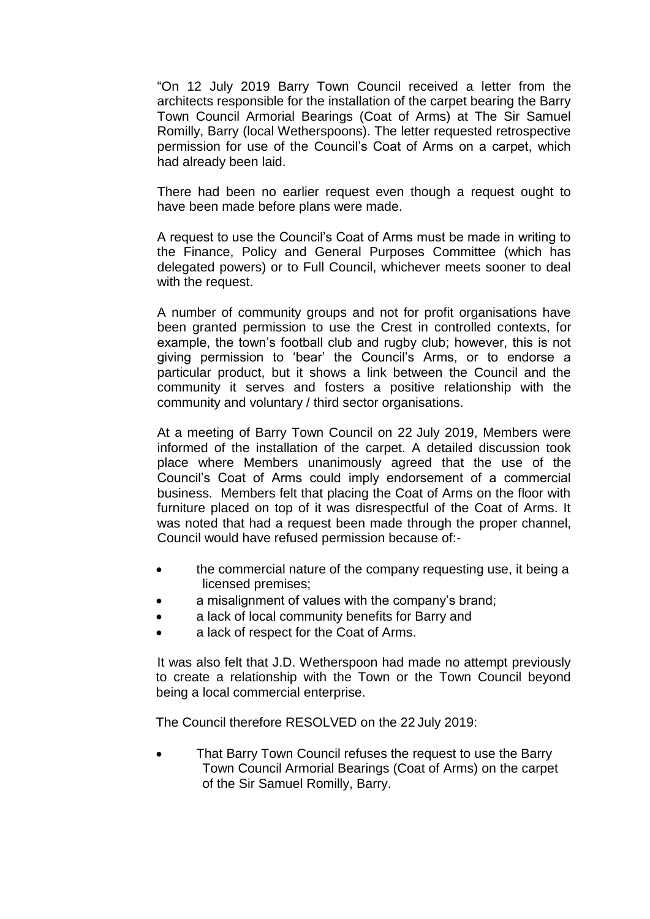"On 12 July 2019 Barry Town Council received a letter from the architects responsible for the installation of the carpet bearing the Barry Town Council Armorial Bearings (Coat of Arms) at The Sir Samuel Romilly, Barry (local Wetherspoons). The letter requested retrospective permission for use of the Council's Coat of Arms on a carpet, which had already been laid.

There had been no earlier request even though a request ought to have been made before plans were made.

A request to use the Council's Coat of Arms must be made in writing to the Finance, Policy and General Purposes Committee (which has delegated powers) or to Full Council, whichever meets sooner to deal with the request.

A number of community groups and not for profit organisations have been granted permission to use the Crest in controlled contexts, for example, the town's football club and rugby club; however, this is not giving permission to 'bear' the Council's Arms, or to endorse a particular product, but it shows a link between the Council and the community it serves and fosters a positive relationship with the community and voluntary / third sector organisations.

At a meeting of Barry Town Council on 22 July 2019, Members were informed of the installation of the carpet. A detailed discussion took place where Members unanimously agreed that the use of the Council's Coat of Arms could imply endorsement of a commercial business. Members felt that placing the Coat of Arms on the floor with furniture placed on top of it was disrespectful of the Coat of Arms. It was noted that had a request been made through the proper channel, Council would have refused permission because of:-

- the commercial nature of the company requesting use, it being a licensed premises;
- a misalignment of values with the company's brand;
- a lack of local community benefits for Barry and
- a lack of respect for the Coat of Arms.

It was also felt that J.D. Wetherspoon had made no attempt previously to create a relationship with the Town or the Town Council beyond being a local commercial enterprise.

The Council therefore RESOLVED on the 22 July 2019:

 That Barry Town Council refuses the request to use the Barry Town Council Armorial Bearings (Coat of Arms) on the carpet of the Sir Samuel Romilly, Barry.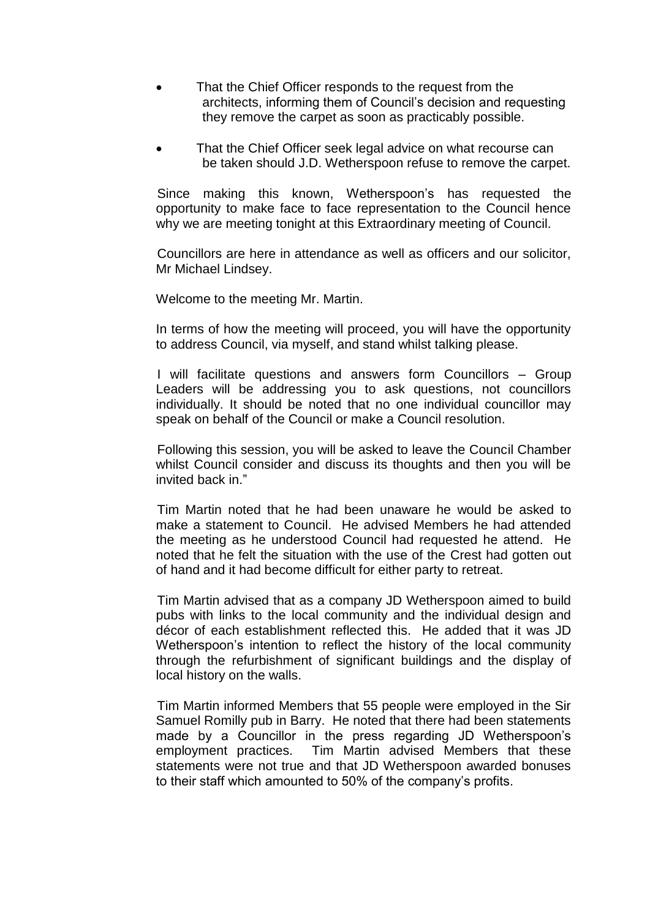- That the Chief Officer responds to the request from the architects, informing them of Council's decision and requesting they remove the carpet as soon as practicably possible.
- That the Chief Officer seek legal advice on what recourse can be taken should J.D. Wetherspoon refuse to remove the carpet.

Since making this known, Wetherspoon's has requested the opportunity to make face to face representation to the Council hence why we are meeting tonight at this Extraordinary meeting of Council.

Councillors are here in attendance as well as officers and our solicitor, Mr Michael Lindsey.

Welcome to the meeting Mr. Martin.

In terms of how the meeting will proceed, you will have the opportunity to address Council, via myself, and stand whilst talking please.

I will facilitate questions and answers form Councillors – Group Leaders will be addressing you to ask questions, not councillors individually. It should be noted that no one individual councillor may speak on behalf of the Council or make a Council resolution.

Following this session, you will be asked to leave the Council Chamber whilst Council consider and discuss its thoughts and then you will be invited back in."

Tim Martin noted that he had been unaware he would be asked to make a statement to Council. He advised Members he had attended the meeting as he understood Council had requested he attend. He noted that he felt the situation with the use of the Crest had gotten out of hand and it had become difficult for either party to retreat.

Tim Martin advised that as a company JD Wetherspoon aimed to build pubs with links to the local community and the individual design and décor of each establishment reflected this. He added that it was JD Wetherspoon's intention to reflect the history of the local community through the refurbishment of significant buildings and the display of local history on the walls.

Tim Martin informed Members that 55 people were employed in the Sir Samuel Romilly pub in Barry. He noted that there had been statements made by a Councillor in the press regarding JD Wetherspoon's employment practices. Tim Martin advised Members that these statements were not true and that JD Wetherspoon awarded bonuses to their staff which amounted to 50% of the company's profits.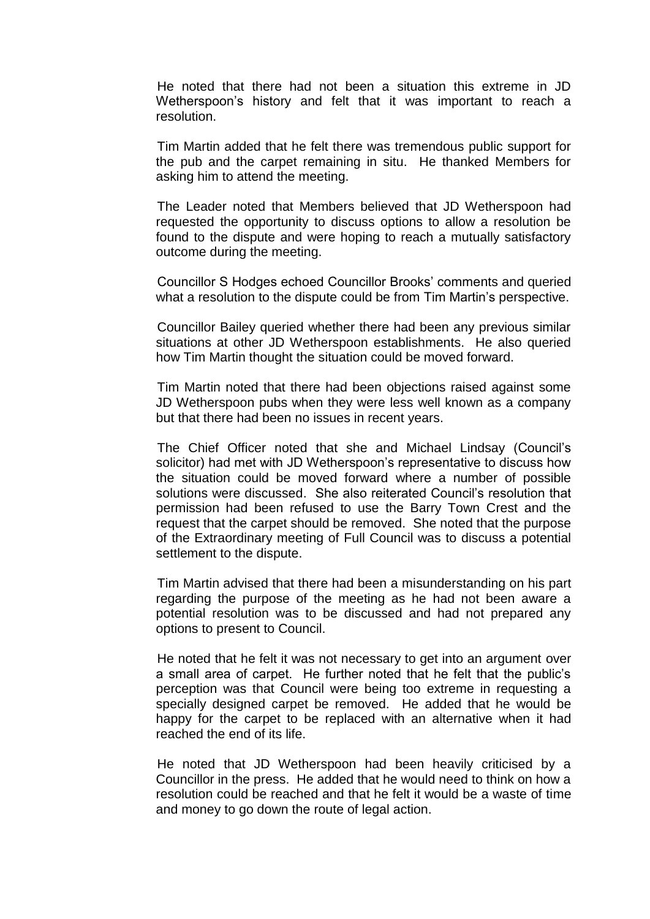He noted that there had not been a situation this extreme in JD Wetherspoon's history and felt that it was important to reach a resolution.

Tim Martin added that he felt there was tremendous public support for the pub and the carpet remaining in situ. He thanked Members for asking him to attend the meeting.

The Leader noted that Members believed that JD Wetherspoon had requested the opportunity to discuss options to allow a resolution be found to the dispute and were hoping to reach a mutually satisfactory outcome during the meeting.

Councillor S Hodges echoed Councillor Brooks' comments and queried what a resolution to the dispute could be from Tim Martin's perspective.

Councillor Bailey queried whether there had been any previous similar situations at other JD Wetherspoon establishments. He also queried how Tim Martin thought the situation could be moved forward.

Tim Martin noted that there had been objections raised against some JD Wetherspoon pubs when they were less well known as a company but that there had been no issues in recent years.

The Chief Officer noted that she and Michael Lindsay (Council's solicitor) had met with JD Wetherspoon's representative to discuss how the situation could be moved forward where a number of possible solutions were discussed. She also reiterated Council's resolution that permission had been refused to use the Barry Town Crest and the request that the carpet should be removed. She noted that the purpose of the Extraordinary meeting of Full Council was to discuss a potential settlement to the dispute.

Tim Martin advised that there had been a misunderstanding on his part regarding the purpose of the meeting as he had not been aware a potential resolution was to be discussed and had not prepared any options to present to Council.

He noted that he felt it was not necessary to get into an argument over a small area of carpet. He further noted that he felt that the public's perception was that Council were being too extreme in requesting a specially designed carpet be removed. He added that he would be happy for the carpet to be replaced with an alternative when it had reached the end of its life.

He noted that JD Wetherspoon had been heavily criticised by a Councillor in the press. He added that he would need to think on how a resolution could be reached and that he felt it would be a waste of time and money to go down the route of legal action.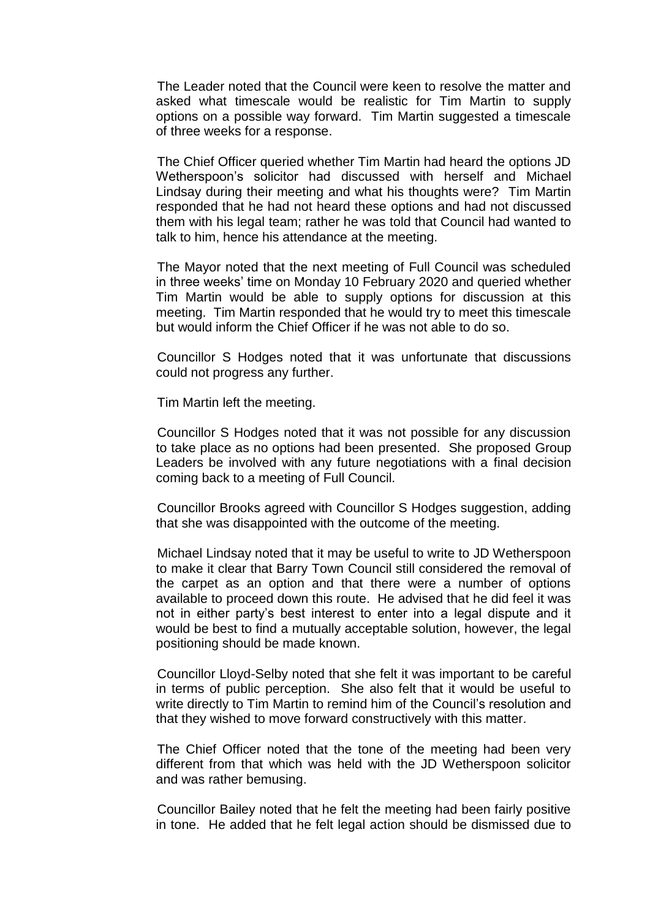The Leader noted that the Council were keen to resolve the matter and asked what timescale would be realistic for Tim Martin to supply options on a possible way forward. Tim Martin suggested a timescale of three weeks for a response.

The Chief Officer queried whether Tim Martin had heard the options JD Wetherspoon's solicitor had discussed with herself and Michael Lindsay during their meeting and what his thoughts were? Tim Martin responded that he had not heard these options and had not discussed them with his legal team; rather he was told that Council had wanted to talk to him, hence his attendance at the meeting.

The Mayor noted that the next meeting of Full Council was scheduled in three weeks' time on Monday 10 February 2020 and queried whether Tim Martin would be able to supply options for discussion at this meeting. Tim Martin responded that he would try to meet this timescale but would inform the Chief Officer if he was not able to do so.

Councillor S Hodges noted that it was unfortunate that discussions could not progress any further.

Tim Martin left the meeting.

Councillor S Hodges noted that it was not possible for any discussion to take place as no options had been presented. She proposed Group Leaders be involved with any future negotiations with a final decision coming back to a meeting of Full Council.

Councillor Brooks agreed with Councillor S Hodges suggestion, adding that she was disappointed with the outcome of the meeting.

Michael Lindsay noted that it may be useful to write to JD Wetherspoon to make it clear that Barry Town Council still considered the removal of the carpet as an option and that there were a number of options available to proceed down this route. He advised that he did feel it was not in either party's best interest to enter into a legal dispute and it would be best to find a mutually acceptable solution, however, the legal positioning should be made known.

Councillor Lloyd-Selby noted that she felt it was important to be careful in terms of public perception. She also felt that it would be useful to write directly to Tim Martin to remind him of the Council's resolution and that they wished to move forward constructively with this matter.

The Chief Officer noted that the tone of the meeting had been very different from that which was held with the JD Wetherspoon solicitor and was rather bemusing.

Councillor Bailey noted that he felt the meeting had been fairly positive in tone. He added that he felt legal action should be dismissed due to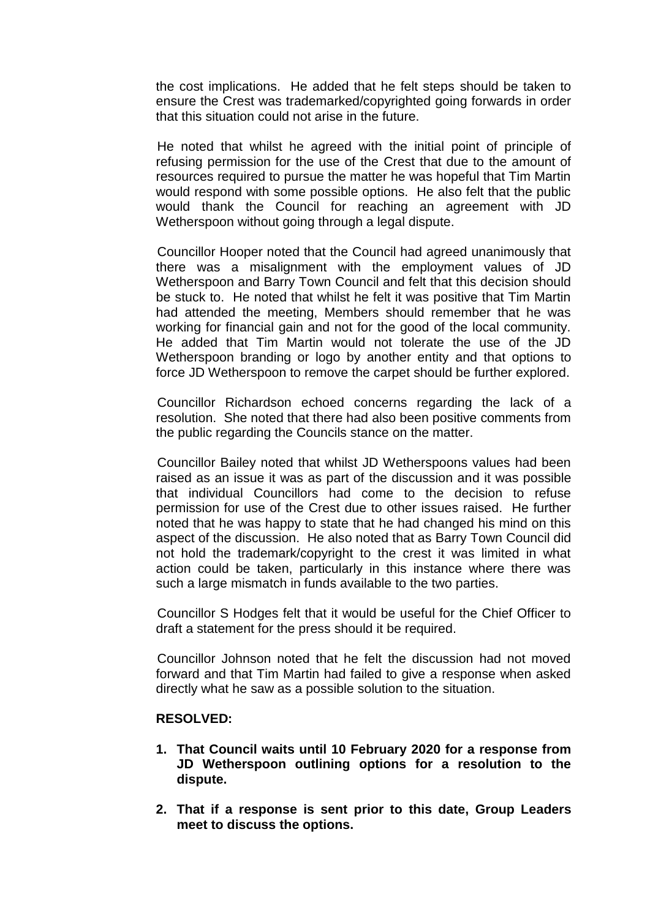the cost implications. He added that he felt steps should be taken to ensure the Crest was trademarked/copyrighted going forwards in order that this situation could not arise in the future.

He noted that whilst he agreed with the initial point of principle of refusing permission for the use of the Crest that due to the amount of resources required to pursue the matter he was hopeful that Tim Martin would respond with some possible options. He also felt that the public would thank the Council for reaching an agreement with JD Wetherspoon without going through a legal dispute.

Councillor Hooper noted that the Council had agreed unanimously that there was a misalignment with the employment values of JD Wetherspoon and Barry Town Council and felt that this decision should be stuck to. He noted that whilst he felt it was positive that Tim Martin had attended the meeting, Members should remember that he was working for financial gain and not for the good of the local community. He added that Tim Martin would not tolerate the use of the JD Wetherspoon branding or logo by another entity and that options to force JD Wetherspoon to remove the carpet should be further explored.

Councillor Richardson echoed concerns regarding the lack of a resolution. She noted that there had also been positive comments from the public regarding the Councils stance on the matter.

Councillor Bailey noted that whilst JD Wetherspoons values had been raised as an issue it was as part of the discussion and it was possible that individual Councillors had come to the decision to refuse permission for use of the Crest due to other issues raised. He further noted that he was happy to state that he had changed his mind on this aspect of the discussion. He also noted that as Barry Town Council did not hold the trademark/copyright to the crest it was limited in what action could be taken, particularly in this instance where there was such a large mismatch in funds available to the two parties.

Councillor S Hodges felt that it would be useful for the Chief Officer to draft a statement for the press should it be required.

Councillor Johnson noted that he felt the discussion had not moved forward and that Tim Martin had failed to give a response when asked directly what he saw as a possible solution to the situation.

### **RESOLVED:**

- **1. That Council waits until 10 February 2020 for a response from JD Wetherspoon outlining options for a resolution to the dispute.**
- **2. That if a response is sent prior to this date, Group Leaders meet to discuss the options.**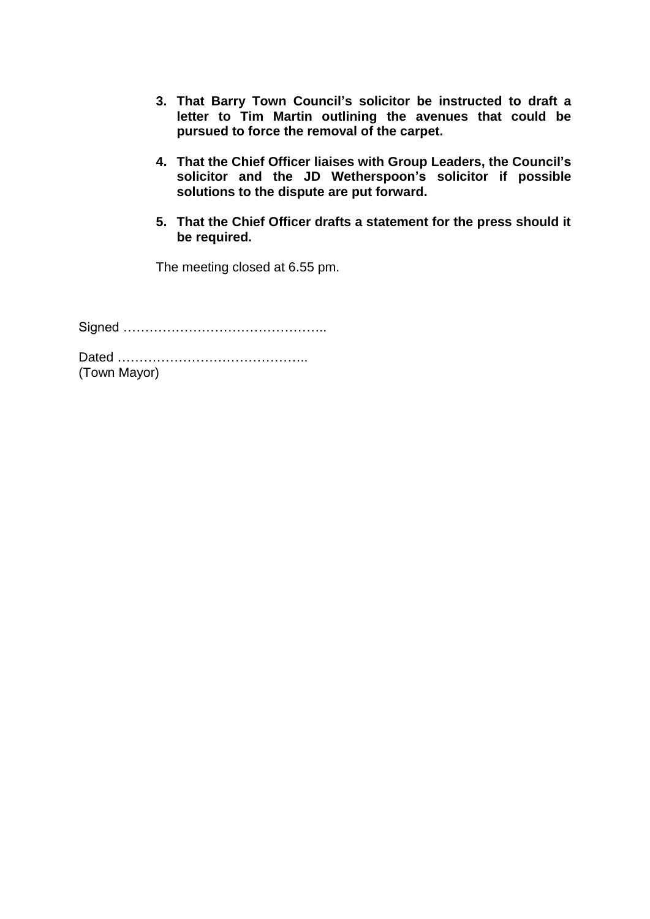- **3. That Barry Town Council's solicitor be instructed to draft a letter to Tim Martin outlining the avenues that could be pursued to force the removal of the carpet.**
- **4. That the Chief Officer liaises with Group Leaders, the Council's solicitor and the JD Wetherspoon's solicitor if possible solutions to the dispute are put forward.**
- **5. That the Chief Officer drafts a statement for the press should it be required.**

The meeting closed at 6.55 pm.

Signed ………………………………………..

Dated …………………………………….. (Town Mayor)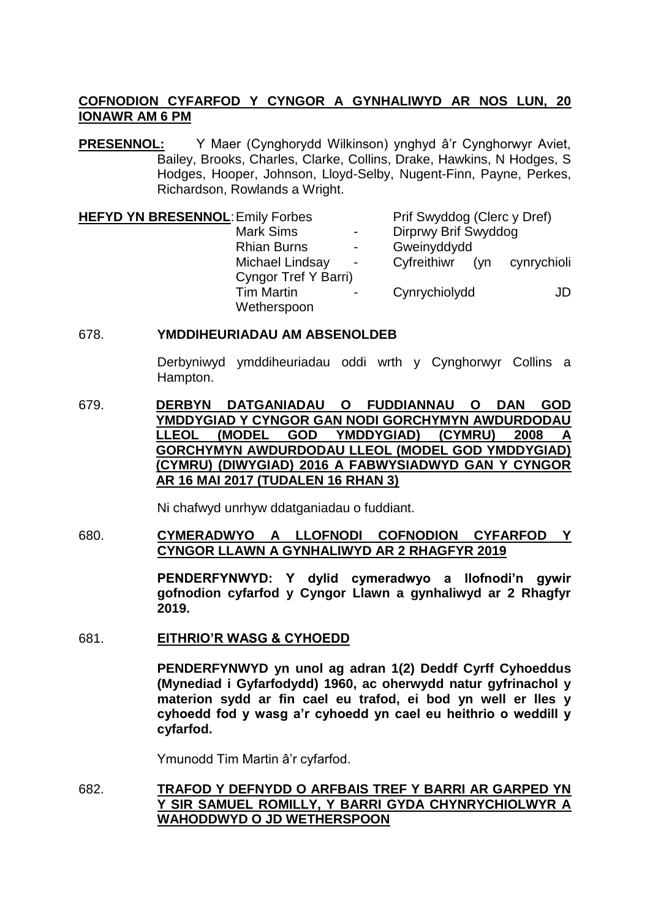# **COFNODION CYFARFOD Y CYNGOR A GYNHALIWYD AR NOS LUN, 20 IONAWR AM 6 PM**

**PRESENNOL:** Y Maer (Cynghorydd Wilkinson) ynghyd â'r Cynghorwyr Aviet, Bailey, Brooks, Charles, Clarke, Collins, Drake, Hawkins, N Hodges, S Hodges, Hooper, Johnson, Lloyd-Selby, Nugent-Finn, Payne, Perkes, Richardson, Rowlands a Wright.

| <b>HEFYD YN BRESENNOL: Emily Forbes</b><br><b>Mark Sims</b><br>$\blacksquare$ |                      |                | Prif Swyddog (Clerc y Dref)<br>Dirprwy Brif Swyddog |     |             |
|-------------------------------------------------------------------------------|----------------------|----------------|-----------------------------------------------------|-----|-------------|
|                                                                               |                      |                |                                                     |     |             |
|                                                                               | Michael Lindsay      | $\blacksquare$ | Cyfreithiwr                                         | (vn | cynrychioli |
|                                                                               | Cyngor Tref Y Barri) |                |                                                     |     |             |
|                                                                               | <b>Tim Martin</b>    |                | Cynrychiolydd                                       |     | JD          |
|                                                                               | Wetherspoon          |                |                                                     |     |             |

## 678. **YMDDIHEURIADAU AM ABSENOLDEB**

Derbyniwyd ymddiheuriadau oddi wrth y Cynghorwyr Collins a Hampton.

679. **DERBYN DATGANIADAU O FUDDIANNAU O DAN GOD YMDDYGIAD Y CYNGOR GAN NODI GORCHYMYN AWDURDODAU LLEOL (MODEL GOD YMDDYGIAD) (CYMRU) 2008 A GORCHYMYN AWDURDODAU LLEOL (MODEL GOD YMDDYGIAD) (CYMRU) (DIWYGIAD) 2016 A FABWYSIADWYD GAN Y CYNGOR AR 16 MAI 2017 (TUDALEN 16 RHAN 3)**

Ni chafwyd unrhyw ddatganiadau o fuddiant.

680. **CYMERADWYO A LLOFNODI COFNODION CYFARFOD Y CYNGOR LLAWN A GYNHALIWYD AR 2 RHAGFYR 2019**

> **PENDERFYNWYD: Y dylid cymeradwyo a llofnodi'n gywir gofnodion cyfarfod y Cyngor Llawn a gynhaliwyd ar 2 Rhagfyr 2019.**

681. **EITHRIO'R WASG & CYHOEDD**

**PENDERFYNWYD yn unol ag adran 1(2) Deddf Cyrff Cyhoeddus (Mynediad i Gyfarfodydd) 1960, ac oherwydd natur gyfrinachol y materion sydd ar fin cael eu trafod, ei bod yn well er lles y cyhoedd fod y wasg a'r cyhoedd yn cael eu heithrio o weddill y cyfarfod.**

Ymunodd Tim Martin â'r cyfarfod.

682. **TRAFOD Y DEFNYDD O ARFBAIS TREF Y BARRI AR GARPED YN Y SIR SAMUEL ROMILLY, Y BARRI GYDA CHYNRYCHIOLWYR A WAHODDWYD O JD WETHERSPOON**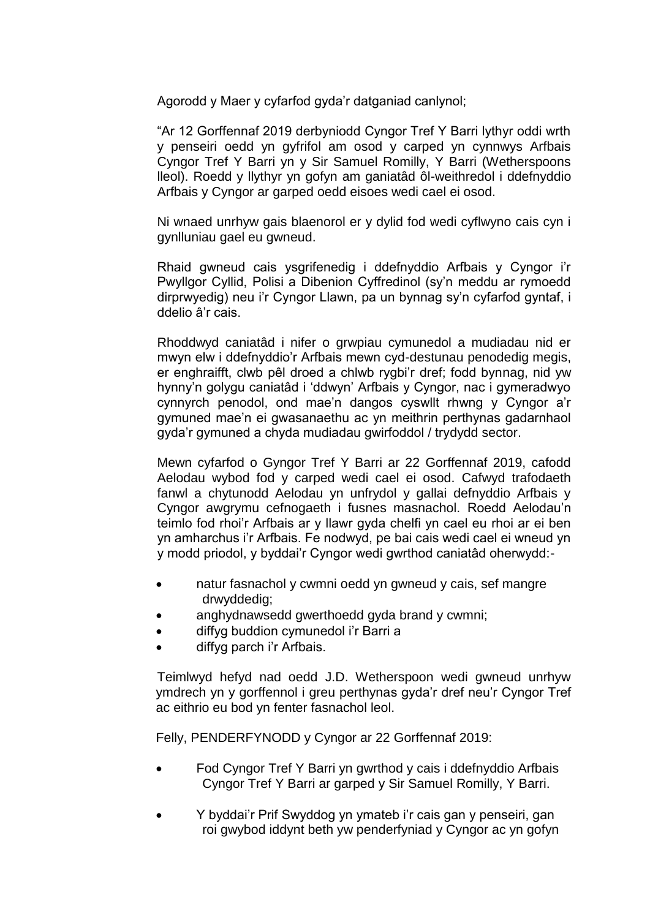Agorodd y Maer y cyfarfod gyda'r datganiad canlynol;

"Ar 12 Gorffennaf 2019 derbyniodd Cyngor Tref Y Barri lythyr oddi wrth y penseiri oedd yn gyfrifol am osod y carped yn cynnwys Arfbais Cyngor Tref Y Barri yn y Sir Samuel Romilly, Y Barri (Wetherspoons lleol). Roedd y llythyr yn gofyn am ganiatâd ôl-weithredol i ddefnyddio Arfbais y Cyngor ar garped oedd eisoes wedi cael ei osod.

Ni wnaed unrhyw gais blaenorol er y dylid fod wedi cyflwyno cais cyn i gynlluniau gael eu gwneud.

Rhaid gwneud cais ysgrifenedig i ddefnyddio Arfbais y Cyngor i'r Pwyllgor Cyllid, Polisi a Dibenion Cyffredinol (sy'n meddu ar rymoedd dirprwyedig) neu i'r Cyngor Llawn, pa un bynnag sy'n cyfarfod gyntaf, i ddelio â'r cais.

Rhoddwyd caniatâd i nifer o grwpiau cymunedol a mudiadau nid er mwyn elw i ddefnyddio'r Arfbais mewn cyd-destunau penodedig megis, er enghraifft, clwb pêl droed a chlwb rygbi'r dref; fodd bynnag, nid yw hynny'n golygu caniatâd i 'ddwyn' Arfbais y Cyngor, nac i gymeradwyo cynnyrch penodol, ond mae'n dangos cyswllt rhwng y Cyngor a'r gymuned mae'n ei gwasanaethu ac yn meithrin perthynas gadarnhaol gyda'r gymuned a chyda mudiadau gwirfoddol / trydydd sector.

Mewn cyfarfod o Gyngor Tref Y Barri ar 22 Gorffennaf 2019, cafodd Aelodau wybod fod y carped wedi cael ei osod. Cafwyd trafodaeth fanwl a chytunodd Aelodau yn unfrydol y gallai defnyddio Arfbais y Cyngor awgrymu cefnogaeth i fusnes masnachol. Roedd Aelodau'n teimlo fod rhoi'r Arfbais ar y llawr gyda chelfi yn cael eu rhoi ar ei ben yn amharchus i'r Arfbais. Fe nodwyd, pe bai cais wedi cael ei wneud yn y modd priodol, y byddai'r Cyngor wedi gwrthod caniatâd oherwydd:-

- natur fasnachol y cwmni oedd yn gwneud y cais, sef mangre drwyddedig;
- anghydnawsedd gwerthoedd gyda brand y cwmni;
- diffyg buddion cymunedol i'r Barri a
- diffyg parch i'r Arfbais.

Teimlwyd hefyd nad oedd J.D. Wetherspoon wedi gwneud unrhyw ymdrech yn y gorffennol i greu perthynas gyda'r dref neu'r Cyngor Tref ac eithrio eu bod yn fenter fasnachol leol.

Felly, PENDERFYNODD y Cyngor ar 22 Gorffennaf 2019:

- Fod Cyngor Tref Y Barri yn gwrthod y cais i ddefnyddio Arfbais Cyngor Tref Y Barri ar garped y Sir Samuel Romilly, Y Barri.
- Y byddai'r Prif Swyddog yn ymateb i'r cais gan y penseiri, gan roi gwybod iddynt beth yw penderfyniad y Cyngor ac yn gofyn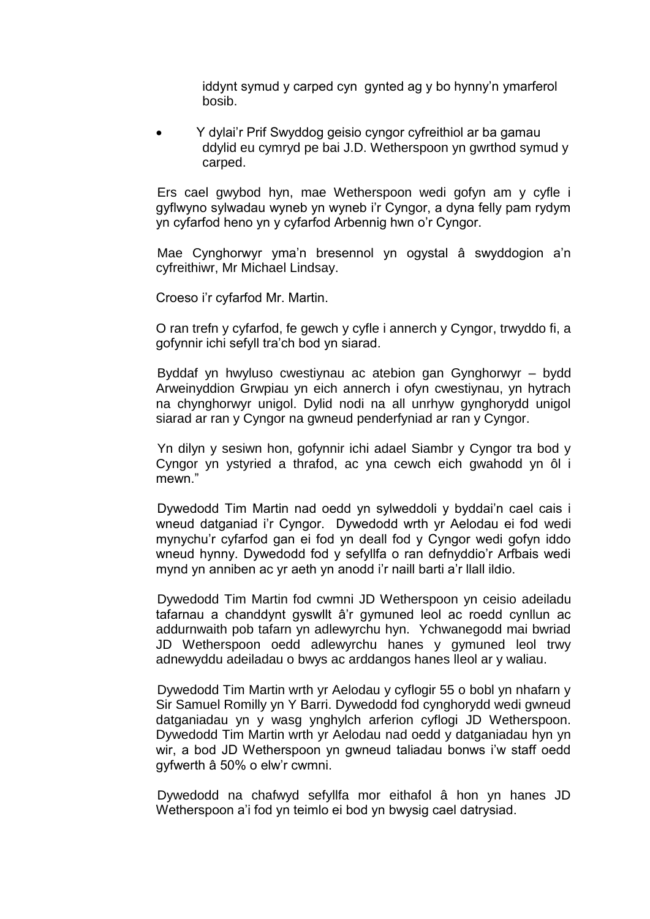iddynt symud y carped cyn gynted ag y bo hynny'n ymarferol bosib.

 Y dylai'r Prif Swyddog geisio cyngor cyfreithiol ar ba gamau ddylid eu cymryd pe bai J.D. Wetherspoon yn gwrthod symud y carped.

Ers cael gwybod hyn, mae Wetherspoon wedi gofyn am y cyfle i gyflwyno sylwadau wyneb yn wyneb i'r Cyngor, a dyna felly pam rydym yn cyfarfod heno yn y cyfarfod Arbennig hwn o'r Cyngor.

Mae Cynghorwyr yma'n bresennol yn ogystal â swyddogion a'n cyfreithiwr, Mr Michael Lindsay.

Croeso i'r cyfarfod Mr. Martin.

O ran trefn y cyfarfod, fe gewch y cyfle i annerch y Cyngor, trwyddo fi, a gofynnir ichi sefyll tra'ch bod yn siarad.

Byddaf yn hwyluso cwestiynau ac atebion gan Gynghorwyr – bydd Arweinyddion Grwpiau yn eich annerch i ofyn cwestiynau, yn hytrach na chynghorwyr unigol. Dylid nodi na all unrhyw gynghorydd unigol siarad ar ran y Cyngor na gwneud penderfyniad ar ran y Cyngor.

Yn dilyn y sesiwn hon, gofynnir ichi adael Siambr y Cyngor tra bod y Cyngor yn ystyried a thrafod, ac yna cewch eich gwahodd yn ôl i mewn."

Dywedodd Tim Martin nad oedd yn sylweddoli y byddai'n cael cais i wneud datganiad i'r Cyngor. Dywedodd wrth yr Aelodau ei fod wedi mynychu'r cyfarfod gan ei fod yn deall fod y Cyngor wedi gofyn iddo wneud hynny. Dywedodd fod y sefyllfa o ran defnyddio'r Arfbais wedi mynd yn anniben ac yr aeth yn anodd i'r naill barti a'r llall ildio.

Dywedodd Tim Martin fod cwmni JD Wetherspoon yn ceisio adeiladu tafarnau a chanddynt gyswllt â'r gymuned leol ac roedd cynllun ac addurnwaith pob tafarn yn adlewyrchu hyn. Ychwanegodd mai bwriad JD Wetherspoon oedd adlewyrchu hanes y gymuned leol trwy adnewyddu adeiladau o bwys ac arddangos hanes lleol ar y waliau.

Dywedodd Tim Martin wrth yr Aelodau y cyflogir 55 o bobl yn nhafarn y Sir Samuel Romilly yn Y Barri. Dywedodd fod cynghorydd wedi gwneud datganiadau yn y wasg ynghylch arferion cyflogi JD Wetherspoon. Dywedodd Tim Martin wrth yr Aelodau nad oedd y datganiadau hyn yn wir, a bod JD Wetherspoon yn gwneud taliadau bonws i'w staff oedd gyfwerth â 50% o elw'r cwmni.

Dywedodd na chafwyd sefyllfa mor eithafol â hon yn hanes JD Wetherspoon a'i fod yn teimlo ei bod yn bwysig cael datrysiad.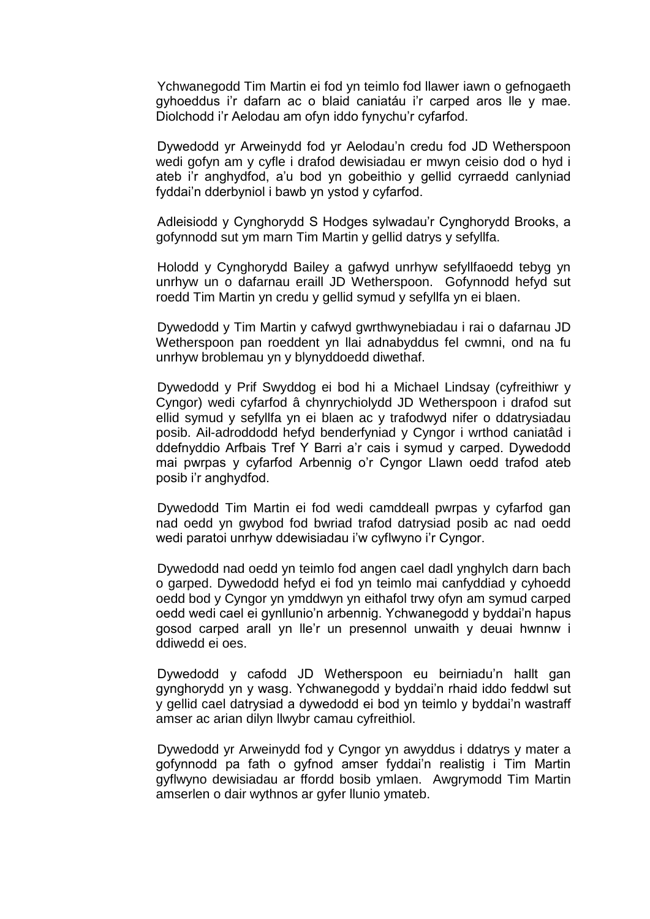Ychwanegodd Tim Martin ei fod yn teimlo fod llawer iawn o gefnogaeth gyhoeddus i'r dafarn ac o blaid caniatáu i'r carped aros lle y mae. Diolchodd i'r Aelodau am ofyn iddo fynychu'r cyfarfod.

Dywedodd yr Arweinydd fod yr Aelodau'n credu fod JD Wetherspoon wedi gofyn am y cyfle i drafod dewisiadau er mwyn ceisio dod o hyd i ateb i'r anghydfod, a'u bod yn gobeithio y gellid cyrraedd canlyniad fyddai'n dderbyniol i bawb yn ystod y cyfarfod.

Adleisiodd y Cynghorydd S Hodges sylwadau'r Cynghorydd Brooks, a gofynnodd sut ym marn Tim Martin y gellid datrys y sefyllfa.

Holodd y Cynghorydd Bailey a gafwyd unrhyw sefyllfaoedd tebyg yn unrhyw un o dafarnau eraill JD Wetherspoon. Gofynnodd hefyd sut roedd Tim Martin yn credu y gellid symud y sefyllfa yn ei blaen.

Dywedodd y Tim Martin y cafwyd gwrthwynebiadau i rai o dafarnau JD Wetherspoon pan roeddent yn llai adnabyddus fel cwmni, ond na fu unrhyw broblemau yn y blynyddoedd diwethaf.

Dywedodd y Prif Swyddog ei bod hi a Michael Lindsay (cyfreithiwr y Cyngor) wedi cyfarfod â chynrychiolydd JD Wetherspoon i drafod sut ellid symud y sefyllfa yn ei blaen ac y trafodwyd nifer o ddatrysiadau posib. Ail-adroddodd hefyd benderfyniad y Cyngor i wrthod caniatâd i ddefnyddio Arfbais Tref Y Barri a'r cais i symud y carped. Dywedodd mai pwrpas y cyfarfod Arbennig o'r Cyngor Llawn oedd trafod ateb posib i'r anghydfod.

Dywedodd Tim Martin ei fod wedi camddeall pwrpas y cyfarfod gan nad oedd yn gwybod fod bwriad trafod datrysiad posib ac nad oedd wedi paratoi unrhyw ddewisiadau i'w cyflwyno i'r Cyngor.

Dywedodd nad oedd yn teimlo fod angen cael dadl ynghylch darn bach o garped. Dywedodd hefyd ei fod yn teimlo mai canfyddiad y cyhoedd oedd bod y Cyngor yn ymddwyn yn eithafol trwy ofyn am symud carped oedd wedi cael ei gynllunio'n arbennig. Ychwanegodd y byddai'n hapus gosod carped arall yn lle'r un presennol unwaith y deuai hwnnw i ddiwedd ei oes.

Dywedodd y cafodd JD Wetherspoon eu beirniadu'n hallt gan gynghorydd yn y wasg. Ychwanegodd y byddai'n rhaid iddo feddwl sut y gellid cael datrysiad a dywedodd ei bod yn teimlo y byddai'n wastraff amser ac arian dilyn llwybr camau cyfreithiol.

Dywedodd yr Arweinydd fod y Cyngor yn awyddus i ddatrys y mater a gofynnodd pa fath o gyfnod amser fyddai'n realistig i Tim Martin gyflwyno dewisiadau ar ffordd bosib ymlaen. Awgrymodd Tim Martin amserlen o dair wythnos ar gyfer llunio ymateb.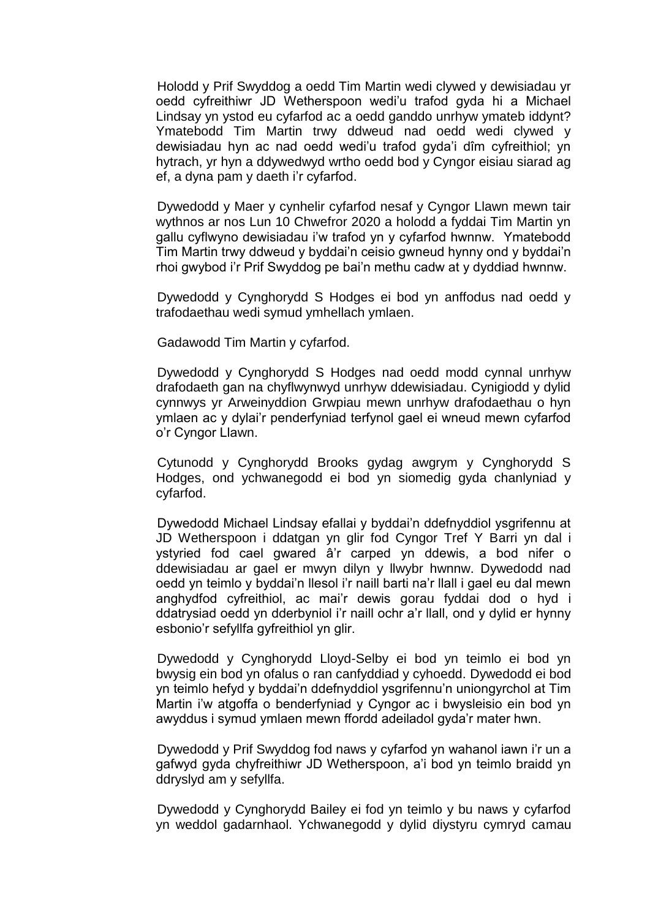Holodd y Prif Swyddog a oedd Tim Martin wedi clywed y dewisiadau yr oedd cyfreithiwr JD Wetherspoon wedi'u trafod gyda hi a Michael Lindsay yn ystod eu cyfarfod ac a oedd ganddo unrhyw ymateb iddynt? Ymatebodd Tim Martin trwy ddweud nad oedd wedi clywed y dewisiadau hyn ac nad oedd wedi'u trafod gyda'i dîm cyfreithiol; yn hytrach, yr hyn a ddywedwyd wrtho oedd bod y Cyngor eisiau siarad ag ef, a dyna pam y daeth i'r cyfarfod.

Dywedodd y Maer y cynhelir cyfarfod nesaf y Cyngor Llawn mewn tair wythnos ar nos Lun 10 Chwefror 2020 a holodd a fyddai Tim Martin yn gallu cyflwyno dewisiadau i'w trafod yn y cyfarfod hwnnw. Ymatebodd Tim Martin trwy ddweud y byddai'n ceisio gwneud hynny ond y byddai'n rhoi gwybod i'r Prif Swyddog pe bai'n methu cadw at y dyddiad hwnnw.

Dywedodd y Cynghorydd S Hodges ei bod yn anffodus nad oedd y trafodaethau wedi symud ymhellach ymlaen.

Gadawodd Tim Martin y cyfarfod.

Dywedodd y Cynghorydd S Hodges nad oedd modd cynnal unrhyw drafodaeth gan na chyflwynwyd unrhyw ddewisiadau. Cynigiodd y dylid cynnwys yr Arweinyddion Grwpiau mewn unrhyw drafodaethau o hyn ymlaen ac y dylai'r penderfyniad terfynol gael ei wneud mewn cyfarfod o'r Cyngor Llawn.

Cytunodd y Cynghorydd Brooks gydag awgrym y Cynghorydd S Hodges, ond ychwanegodd ei bod yn siomedig gyda chanlyniad y cyfarfod.

Dywedodd Michael Lindsay efallai y byddai'n ddefnyddiol ysgrifennu at JD Wetherspoon i ddatgan yn glir fod Cyngor Tref Y Barri yn dal i ystyried fod cael gwared â'r carped yn ddewis, a bod nifer o ddewisiadau ar gael er mwyn dilyn y llwybr hwnnw. Dywedodd nad oedd yn teimlo y byddai'n llesol i'r naill barti na'r llall i gael eu dal mewn anghydfod cyfreithiol, ac mai'r dewis gorau fyddai dod o hyd i ddatrysiad oedd yn dderbyniol i'r naill ochr a'r llall, ond y dylid er hynny esbonio'r sefyllfa gyfreithiol yn glir.

Dywedodd y Cynghorydd Lloyd-Selby ei bod yn teimlo ei bod yn bwysig ein bod yn ofalus o ran canfyddiad y cyhoedd. Dywedodd ei bod yn teimlo hefyd y byddai'n ddefnyddiol ysgrifennu'n uniongyrchol at Tim Martin i'w atgoffa o benderfyniad y Cyngor ac i bwysleisio ein bod yn awyddus i symud ymlaen mewn ffordd adeiladol gyda'r mater hwn.

Dywedodd y Prif Swyddog fod naws y cyfarfod yn wahanol iawn i'r un a gafwyd gyda chyfreithiwr JD Wetherspoon, a'i bod yn teimlo braidd yn ddryslyd am y sefyllfa.

Dywedodd y Cynghorydd Bailey ei fod yn teimlo y bu naws y cyfarfod yn weddol gadarnhaol. Ychwanegodd y dylid diystyru cymryd camau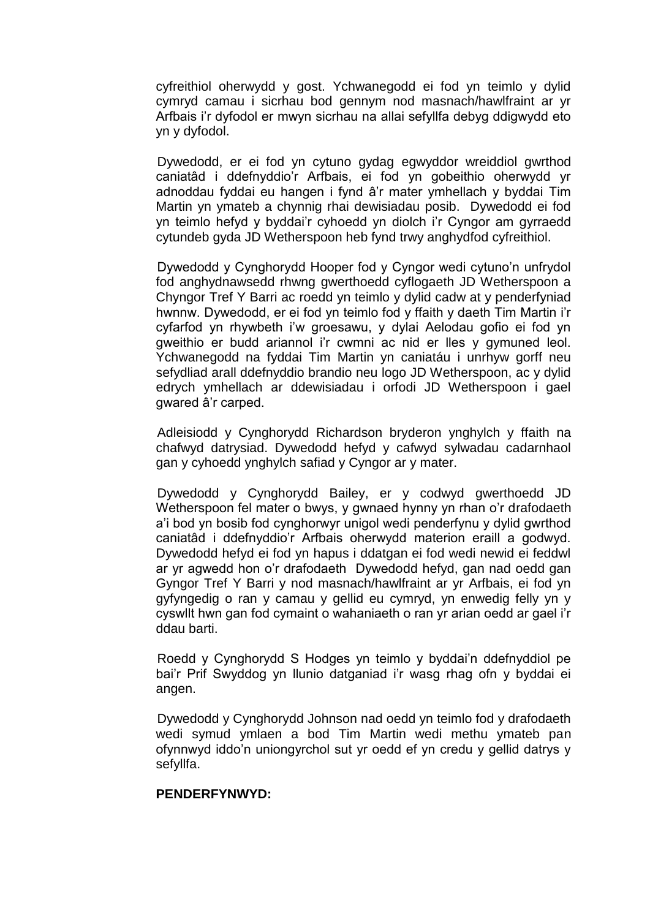cyfreithiol oherwydd y gost. Ychwanegodd ei fod yn teimlo y dylid cymryd camau i sicrhau bod gennym nod masnach/hawlfraint ar yr Arfbais i'r dyfodol er mwyn sicrhau na allai sefyllfa debyg ddigwydd eto yn y dyfodol.

Dywedodd, er ei fod yn cytuno gydag egwyddor wreiddiol gwrthod caniatâd i ddefnyddio'r Arfbais, ei fod yn gobeithio oherwydd yr adnoddau fyddai eu hangen i fynd â'r mater ymhellach y byddai Tim Martin yn ymateb a chynnig rhai dewisiadau posib. Dywedodd ei fod yn teimlo hefyd y byddai'r cyhoedd yn diolch i'r Cyngor am gyrraedd cytundeb gyda JD Wetherspoon heb fynd trwy anghydfod cyfreithiol.

Dywedodd y Cynghorydd Hooper fod y Cyngor wedi cytuno'n unfrydol fod anghydnawsedd rhwng gwerthoedd cyflogaeth JD Wetherspoon a Chyngor Tref Y Barri ac roedd yn teimlo y dylid cadw at y penderfyniad hwnnw. Dywedodd, er ei fod yn teimlo fod y ffaith y daeth Tim Martin i'r cyfarfod yn rhywbeth i'w groesawu, y dylai Aelodau gofio ei fod yn gweithio er budd ariannol i'r cwmni ac nid er lles y gymuned leol. Ychwanegodd na fyddai Tim Martin yn caniatáu i unrhyw gorff neu sefydliad arall ddefnyddio brandio neu logo JD Wetherspoon, ac y dylid edrych ymhellach ar ddewisiadau i orfodi JD Wetherspoon i gael gwared â'r carped.

Adleisiodd y Cynghorydd Richardson bryderon ynghylch y ffaith na chafwyd datrysiad. Dywedodd hefyd y cafwyd sylwadau cadarnhaol gan y cyhoedd ynghylch safiad y Cyngor ar y mater.

Dywedodd y Cynghorydd Bailey, er y codwyd gwerthoedd JD Wetherspoon fel mater o bwys, y gwnaed hynny yn rhan o'r drafodaeth a'i bod yn bosib fod cynghorwyr unigol wedi penderfynu y dylid gwrthod caniatâd i ddefnyddio'r Arfbais oherwydd materion eraill a godwyd. Dywedodd hefyd ei fod yn hapus i ddatgan ei fod wedi newid ei feddwl ar yr agwedd hon o'r drafodaeth Dywedodd hefyd, gan nad oedd gan Gyngor Tref Y Barri y nod masnach/hawlfraint ar yr Arfbais, ei fod yn gyfyngedig o ran y camau y gellid eu cymryd, yn enwedig felly yn y cyswllt hwn gan fod cymaint o wahaniaeth o ran yr arian oedd ar gael i'r ddau barti.

Roedd y Cynghorydd S Hodges yn teimlo y byddai'n ddefnyddiol pe bai'r Prif Swyddog yn llunio datganiad i'r wasg rhag ofn y byddai ei angen.

Dywedodd y Cynghorydd Johnson nad oedd yn teimlo fod y drafodaeth wedi symud ymlaen a bod Tim Martin wedi methu ymateb pan ofynnwyd iddo'n uniongyrchol sut yr oedd ef yn credu y gellid datrys y sefyllfa.

### **PENDERFYNWYD:**